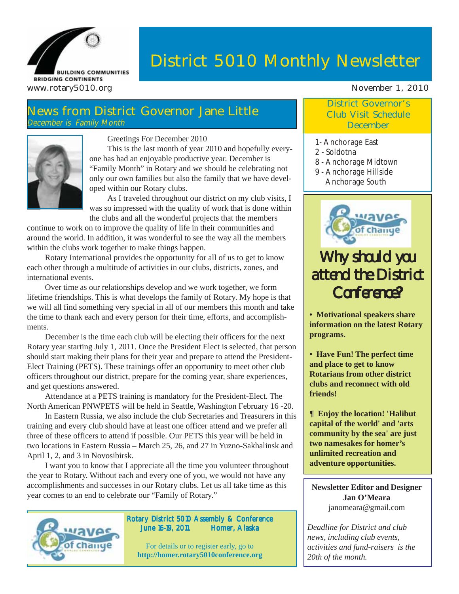

# **District 5010 Monthly Newsletter**

#### **News from District Governor Jane Little** December is Family Month



Greetings For December 2010

This is the last month of year 2010 and hopefully everyone has had an enjoyable productive year. December is "Family Month" in Rotary and we should be celebrating not only our own families but also the family that we have developed within our Rotary clubs.

As I traveled throughout our district on my club visits, I was so impressed with the quality of work that is done within the clubs and all the wonderful projects that the members

continue to work on to improve the quality of life in their communities and around the world. In addition, it was wonderful to see the way all the members within the clubs work together to make things happen.

Rotary International provides the opportunity for all of us to get to know each other through a multitude of activities in our clubs, districts, zones, and international events.

Over time as our relationships develop and we work together, we form lifetime friendships. This is what develops the family of Rotary. My hope is that we will all find something very special in all of our members this month and take the time to thank each and every person for their time, efforts, and accomplishments.

December is the time each club will be electing their officers for the next Rotary year starting July 1, 2011. Once the President Elect is selected, that person should start making their plans for their year and prepare to attend the President-Elect Training (PETS). These trainings offer an opportunity to meet other club officers throughout our district, prepare for the coming year, share experiences, and get questions answered.

Attendance at a PETS training is mandatory for the President-Elect. The North American PNWPETS will be held in Seattle, Washington February 16 -20.

In Eastern Russia, we also include the club Secretaries and Treasurers in this training and every club should have at least one officer attend and we prefer all three of these officers to attend if possible. Our PETS this year will be held in two locations in Eastern Russia – March 25, 26, and 27 in Yuzno-Sakhalinsk and April 1, 2, and 3 in Novosibirsk.

I want you to know that I appreciate all the time you volunteer throughout the year to Rotary. Without each and every one of you, we would not have any accomplishments and successes in our Rotary clubs. Let us all take time as this year comes to an end to celebrate our "Family of Rotary."



Rotary District 5010 Assembly & Conference June 16-19, 2011

For details or to register early, go to **http://homer.rotary5010conference.org**

#### **District Governor's Club Visit Schedule December**

- 1 Anchorage East
- 2 Soldotna
- 8 Anchorage Midtown
- 9 Anchorage Hillside Anchorage South



# Why should you attend the District Conference?

**• Motivational speakers share information on the latest Rotary programs.**

**• Have Fun! The perfect time and place to get to know Rotarians from other district clubs and reconnect with old friends!**

**¶ Enjoy the location! 'Halibut capital of the world' and 'arts community by the sea' are just two namesakes for homer's unlimited recreation and adventure opportunities.**

**Newsletter Editor and Designer Jan O'Meara** janomeara@gmail.com

*Deadline for District and club news, including club events, activities and fund-raisers is the 20th of the month.*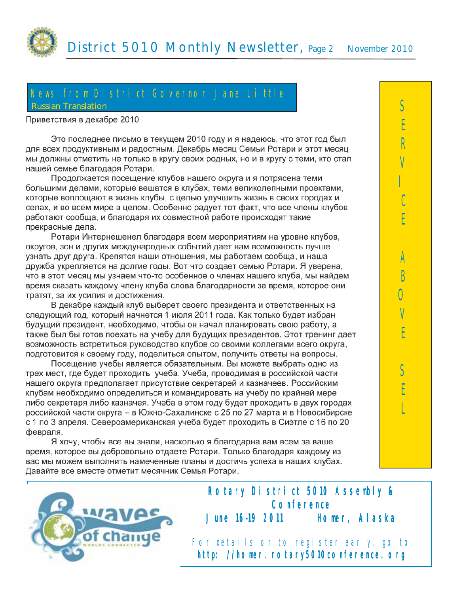## News fromDistrict Governor Jane Little **Russian Translation**

Приветствия в декабре 2010

Это последнее письмо в текущем 2010 году и я надеюсь, что этот год был для всех продуктивным и радостным. Декабрь месяц Семьи Ротари и этот месяц мы должны отметить не только в кругу своих родных, но и в кругу с теми, кто стал нашей семье благодаря Ротари.

Продолжается посещение клубов нашего округа и я потрясена теми большими делами, которые вешатся в клубах, теми великолепными проектами, которые воплощают в жизнь клубы, с целью улучшить жизнь в своих городах и селах, и во всем мире в целом. Особенно радует тот факт, что все члены клубов работают сообща, и благодаря их совместной работе происходят такие прекрасные дела.

Ротари Интернешенел благодаря всем мероприятиям на уровне клубов, округов, зон и других международных событий дает нам возможность лучше узнать друг друга. Крепятся наши отношения, мы работаем сообща, и наша дружба укрепляется на долгие годы. Вот что создает семью Ротари. Я уверена, что в этот месяц мы узнаем что-то особенное о членах нашего клуба, мы найдем время сказать каждому члену клуба слова благодарности за время, которое они тратят, за их усилия и достижения.

В декабре каждый клуб выберет своего президента и ответственных на следующий год, который начнется 1 июля 2011 года. Как только будет избран будущий президент, необходимо, чтобы он начал планировать свою работу, а также был бы готов поехать на учебу для будущих президентов. Этот тренинг дает возможность встретиться руководство клубов со своими коллегами всего округа, подготовится к своему году, поделиться опытом, получить ответы на вопросы.

Посещение учебы является обязательным. Вы можете выбрать одно из трех мест, где будет проходить учеба. Учеба, проводимая в российской части нашего округа предполагает присутствие секретарей и казначеев. Российским клубам необходимо определиться и командировать на учебу по крайней мере либо секретаря либо казначея. Учеба в этом году будет проходить в двух городах российской части округа - в Южно-Сахалинске с 25 по 27 марта и в Новосибирске с 1 по 3 апреля. Североамериканская учеба будет проходить в Сиэтле с 16 по 20 февраля.

Я хочу, чтобы все вы знали, насколько я благодарна вам всем за ваше время, которое вы добровольно отдаете Ротари. Только благодаря каждому из вас мы можем выполнить намеченные планы и достичь успеха в наших клубах. Давайте все вместе отметит месячник Семья Ротари.



**Conference** June 1619 2011 16 Homer, Alaska For details or to register early, go to http://homer.rotary5010conference.org

Rotary District 5010 Assembly &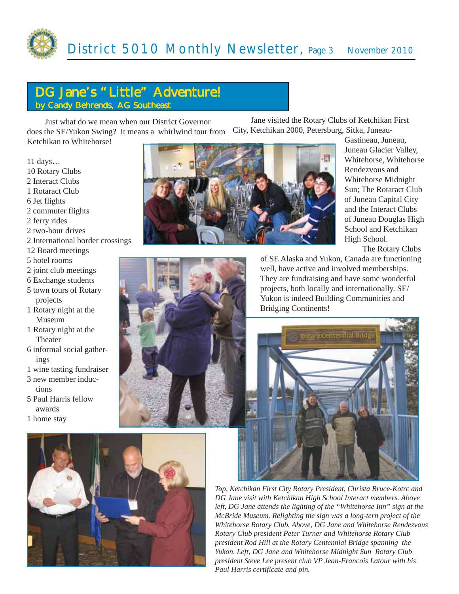

### **DG Jane's "Little" Adventure! by Candy Behrends, AG Southeast**

Just what do we mean when our District Governor does the SE/Yukon Swing? It means a whirlwind tour from Ketchikan to Whitehorse!

Jane visited the Rotary Clubs of Ketchikan First City, Ketchikan 2000, Petersburg, Sitka, Juneau-

> Gastineau, Juneau, Juneau Glacier Valley, Whitehorse, Whitehorse

Rendezvous and Whitehorse Midnight Sun; The Rotaract Club of Juneau Capital City and the Interact Clubs





of Juneau Douglas High School and Ketchikan High School. The Rotary Clubs of SE Alaska and Yukon, Canada are functioning well, have active and involved memberships. They are fundraising and have some wonderful projects, both locally and internationally. SE/ Yukon is indeed Building Communities and Bridging Continents! Rotary Centennial Bridge



*Top, Ketchikan First City Rotary President, Christa Bruce-Kotrc and DG Jane visit with Ketchikan High School Interact members. Above left, DG Jane attends the lighting of the "Whitehorse Inn" sign at the McBride Museum. Relighting the sign was a long-tern project of the Whitehorse Rotary Club. Above, DG Jane and Whitehorse Rendezvous Rotary Club president Peter Turner and Whitehorse Rotary Club president Rod Hill at the Rotary Centennial Bridge spanning the Yukon. Left, DG Jane and Whitehorse Midnight Sun Rotary Club president Steve Lee present club VP Jean-Francois Latour with his Paul Harris certificate and pin.*

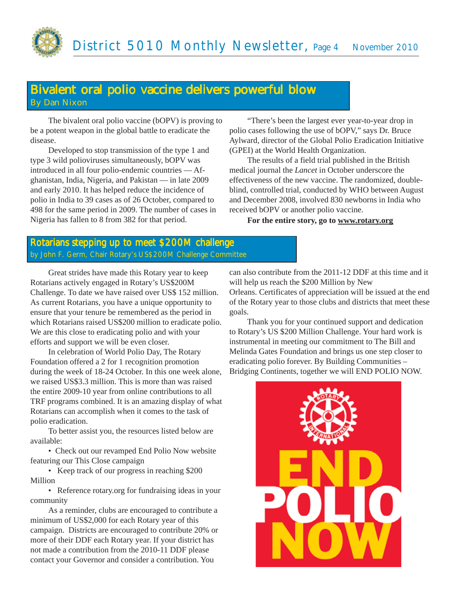#### **Bivalent oral polio vaccine delivers powerful blow By Dan Nixon**

The bivalent oral polio vaccine (bOPV) is proving to be a potent weapon in the global battle to eradicate the disease.

Developed to stop transmission of the type 1 and type 3 wild polioviruses simultaneously, bOPV was introduced in all four polio-endemic countries — Afghanistan, India, Nigeria, and Pakistan — in late 2009 and early 2010. It has helped reduce the incidence of polio in India to 39 cases as of 26 October, compared to 498 for the same period in 2009. The number of cases in Nigeria has fallen to 8 from 382 for that period.

"There's been the largest ever year-to-year drop in polio cases following the use of bOPV," says Dr. Bruce Aylward, director of the Global Polio Eradication Initiative (GPEI) at the World Health Organization.

The results of a field trial published in the British medical journal the *Lancet* in October underscore the effectiveness of the new vaccine. The randomized, doubleblind, controlled trial, conducted by WHO between August and December 2008, involved 830 newborns in India who received bOPV or another polio vaccine.

#### **For the entire story, go to www.rotary.org**

#### Rotarians stepping up to meet \$200M challenge by John F. Germ, Chair Rotary's US\$200M Challenge Committee

Great strides have made this Rotary year to keep Rotarians actively engaged in Rotary's US\$200M Challenge. To date we have raised over US\$ 152 million. As current Rotarians, you have a unique opportunity to ensure that your tenure be remembered as the period in which Rotarians raised US\$200 million to eradicate polio. We are this close to eradicating polio and with your efforts and support we will be even closer.

In celebration of World Polio Day, The Rotary Foundation offered a 2 for 1 recognition promotion during the week of 18-24 October. In this one week alone, we raised US\$3.3 million. This is more than was raised the entire 2009-10 year from online contributions to all TRF programs combined. It is an amazing display of what Rotarians can accomplish when it comes to the task of polio eradication.

To better assist you, the resources listed below are available:

• Check out our revamped End Polio Now website featuring our This Close campaign

• Keep track of our progress in reaching \$200 Million

• Reference rotary.org for fundraising ideas in your community

As a reminder, clubs are encouraged to contribute a minimum of US\$2,000 for each Rotary year of this campaign. Districts are encouraged to contribute 20% or more of their DDF each Rotary year. If your district has not made a contribution from the 2010-11 DDF please contact your Governor and consider a contribution. You

can also contribute from the 2011-12 DDF at this time and it will help us reach the \$200 Million by New

Orleans. Certificates of appreciation will be issued at the end of the Rotary year to those clubs and districts that meet these goals.

Thank you for your continued support and dedication to Rotary's US \$200 Million Challenge. Your hard work is instrumental in meeting our commitment to The Bill and Melinda Gates Foundation and brings us one step closer to eradicating polio forever. By Building Communities – Bridging Continents, together we will END POLIO NOW.

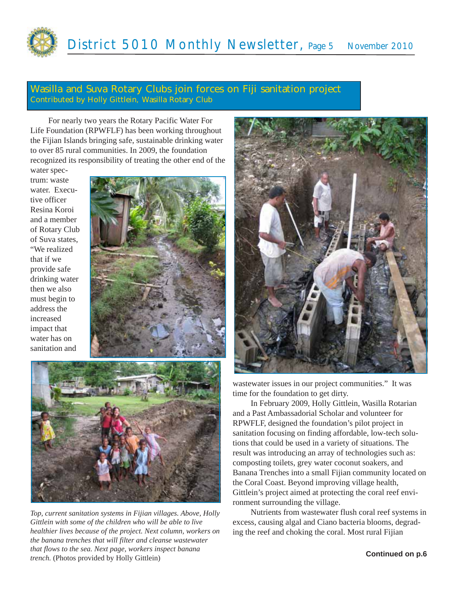

#### **Wasilla and Suva Rotary Clubs join forces on Fiji sanitation project Contributed by Holly Gittlein, Wasilla Rotary Club**

For nearly two years the Rotary Pacific Water For Life Foundation (RPWFLF) has been working throughout the Fijian Islands bringing safe, sustainable drinking water to over 85 rural communities. In 2009, the foundation recognized its responsibility of treating the other end of the water spec-

trum: waste water. Executive officer Resina Koroi and a member of Rotary Club of Suva states, "We realized that if we provide safe drinking water then we also must begin to address the increased impact that water has on sanitation and





*Top, current sanitation systems in Fijian villages. Above, Holly Gittlein with some of the children who will be able to live healthier lives because of the project. Next column, workers on the banana trenches that will filter and cleanse wastewater that flows to the sea. Next page, workers inspect banana trench.* (Photos provided by Holly Gittlein)



wastewater issues in our project communities." It was time for the foundation to get dirty.

In February 2009, Holly Gittlein, Wasilla Rotarian and a Past Ambassadorial Scholar and volunteer for RPWFLF, designed the foundation's pilot project in sanitation focusing on finding affordable, low-tech solutions that could be used in a variety of situations. The result was introducing an array of technologies such as: composting toilets, grey water coconut soakers, and Banana Trenches into a small Fijian community located on the Coral Coast. Beyond improving village health, Gittlein's project aimed at protecting the coral reef environment surrounding the village.

Nutrients from wastewater flush coral reef systems in excess, causing algal and Ciano bacteria blooms, degrading the reef and choking the coral. Most rural Fijian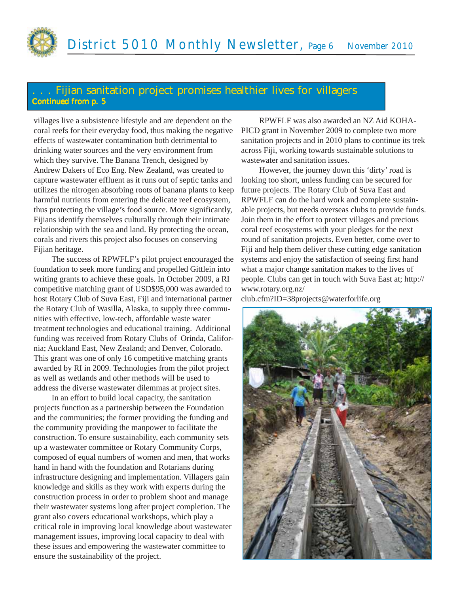

#### **. . . Fijian sanitation project promises healthier lives for villagers Continued from p. 5**

villages live a subsistence lifestyle and are dependent on the coral reefs for their everyday food, thus making the negative effects of wastewater contamination both detrimental to drinking water sources and the very environment from which they survive. The Banana Trench, designed by Andrew Dakers of Eco Eng. New Zealand, was created to capture wastewater effluent as it runs out of septic tanks and utilizes the nitrogen absorbing roots of banana plants to keep harmful nutrients from entering the delicate reef ecosystem, thus protecting the village's food source. More significantly, Fijians identify themselves culturally through their intimate relationship with the sea and land. By protecting the ocean, corals and rivers this project also focuses on conserving Fijian heritage.

The success of RPWFLF's pilot project encouraged the foundation to seek more funding and propelled Gittlein into writing grants to achieve these goals. In October 2009, a RI competitive matching grant of USD\$95,000 was awarded to host Rotary Club of Suva East, Fiji and international partner the Rotary Club of Wasilla, Alaska, to supply three communities with effective, low-tech, affordable waste water treatment technologies and educational training. Additional funding was received from Rotary Clubs of Orinda, California; Auckland East, New Zealand; and Denver, Colorado. This grant was one of only 16 competitive matching grants awarded by RI in 2009. Technologies from the pilot project as well as wetlands and other methods will be used to address the diverse wastewater dilemmas at project sites.

In an effort to build local capacity, the sanitation projects function as a partnership between the Foundation and the communities; the former providing the funding and the community providing the manpower to facilitate the construction. To ensure sustainability, each community sets up a wastewater committee or Rotary Community Corps, composed of equal numbers of women and men, that works hand in hand with the foundation and Rotarians during infrastructure designing and implementation. Villagers gain knowledge and skills as they work with experts during the construction process in order to problem shoot and manage their wastewater systems long after project completion. The grant also covers educational workshops, which play a critical role in improving local knowledge about wastewater management issues, improving local capacity to deal with these issues and empowering the wastewater committee to ensure the sustainability of the project.

RPWFLF was also awarded an NZ Aid KOHA-PICD grant in November 2009 to complete two more sanitation projects and in 2010 plans to continue its trek across Fiji, working towards sustainable solutions to wastewater and sanitation issues.

However, the journey down this 'dirty' road is looking too short, unless funding can be secured for future projects. The Rotary Club of Suva East and RPWFLF can do the hard work and complete sustainable projects, but needs overseas clubs to provide funds. Join them in the effort to protect villages and precious coral reef ecosystems with your pledges for the next round of sanitation projects. Even better, come over to Fiji and help them deliver these cutting edge sanitation systems and enjoy the satisfaction of seeing first hand what a major change sanitation makes to the lives of people. Clubs can get in touch with Suva East at; http:// www.rotary.org.nz/

club.cfm?ID=38projects@waterforlife.org

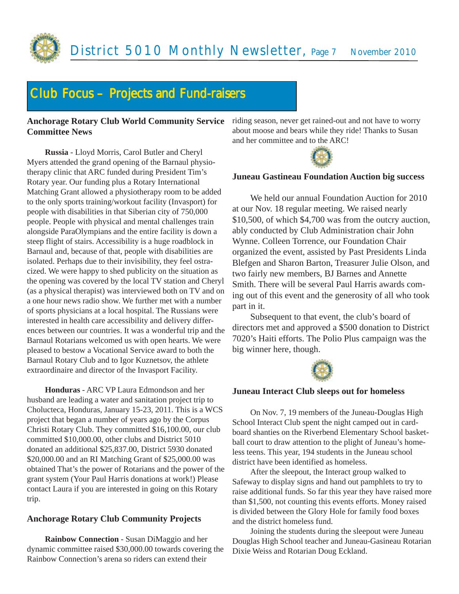

## Club Focus – Projects and Fund-raisers

#### **Anchorage Rotary Club World Community Service Committee News**

**Russia** - Lloyd Morris, Carol Butler and Cheryl Myers attended the grand opening of the Barnaul physiotherapy clinic that ARC funded during President Tim's Rotary year. Our funding plus a Rotary International Matching Grant allowed a physiotherapy room to be added to the only sports training/workout facility (Invasport) for people with disabilities in that Siberian city of 750,000 people. People with physical and mental challenges train alongside ParaOlympians and the entire facility is down a steep flight of stairs. Accessibility is a huge roadblock in Barnaul and, because of that, people with disabilities are isolated. Perhaps due to their invisibility, they feel ostracized. We were happy to shed publicity on the situation as the opening was covered by the local TV station and Cheryl (as a physical therapist) was interviewed both on TV and on a one hour news radio show. We further met with a number of sports physicians at a local hospital. The Russians were interested in health care accessibility and delivery differences between our countries. It was a wonderful trip and the Barnaul Rotarians welcomed us with open hearts. We were pleased to bestow a Vocational Service award to both the Barnaul Rotary Club and to Igor Kuznetsov, the athlete extraordinaire and director of the Invasport Facility.

**Honduras** - ARC VP Laura Edmondson and her husband are leading a water and sanitation project trip to Cholucteca, Honduras, January 15-23, 2011. This is a WCS project that began a number of years ago by the Corpus Christi Rotary Club. They committed \$16,100.00, our club committed \$10,000.00, other clubs and District 5010 donated an additional \$25,837.00, District 5930 donated \$20,000.00 and an RI Matching Grant of \$25,000.00 was obtained That's the power of Rotarians and the power of the grant system (Your Paul Harris donations at work!) Please contact Laura if you are interested in going on this Rotary trip.

#### **Anchorage Rotary Club Community Projects**

**Rainbow Connection** - Susan DiMaggio and her dynamic committee raised \$30,000.00 towards covering the Rainbow Connection's arena so riders can extend their

riding season, never get rained-out and not have to worry about moose and bears while they ride! Thanks to Susan and her committee and to the ARC!



#### **Juneau Gastineau Foundation Auction big success**

We held our annual Foundation Auction for 2010 at our Nov. 18 regular meeting. We raised nearly \$10,500, of which \$4,700 was from the outcry auction, ably conducted by Club Administration chair John Wynne. Colleen Torrence, our Foundation Chair organized the event, assisted by Past Presidents Linda Blefgen and Sharon Barton, Treasurer Julie Olson, and two fairly new members, BJ Barnes and Annette Smith. There will be several Paul Harris awards coming out of this event and the generosity of all who took part in it.

Subsequent to that event, the club's board of directors met and approved a \$500 donation to District 7020's Haiti efforts. The Polio Plus campaign was the big winner here, though.



#### **Juneau Interact Club sleeps out for homeless**

On Nov. 7, 19 members of the Juneau-Douglas High School Interact Club spent the night camped out in cardboard shanties on the Riverbend Elementary School basketball court to draw attention to the plight of Juneau's homeless teens. This year, 194 students in the Juneau school district have been identified as homeless.

After the sleepout, the Interact group walked to Safeway to display signs and hand out pamphlets to try to raise additional funds. So far this year they have raised more than \$1,500, not counting this events efforts. Money raised is divided between the Glory Hole for family food boxes and the district homeless fund.

Joining the students during the sleepout were Juneau Douglas High School teacher and Juneau-Gasineau Rotarian Dixie Weiss and Rotarian Doug Eckland.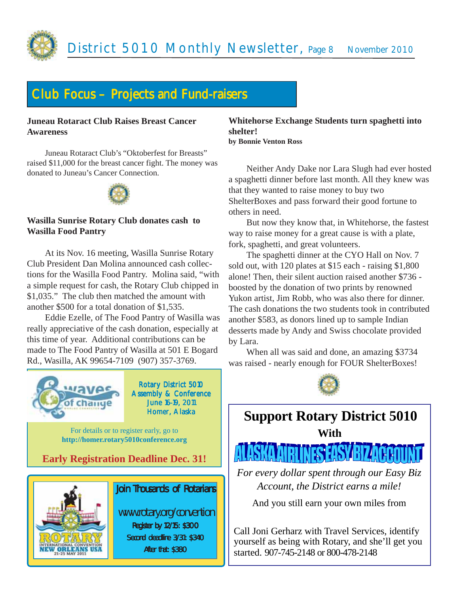

# Club Focus – Projects and Fund-raisers

#### **Juneau Rotaract Club Raises Breast Cancer Awareness**

Juneau Rotaract Club's "Oktoberfest for Breasts" raised \$11,000 for the breast cancer fight. The money was donated to Juneau's Cancer Connection.



#### **Wasilla Sunrise Rotary Club donates cash to Wasilla Food Pantry**

At its Nov. 16 meeting, Wasilla Sunrise Rotary Club President Dan Molina announced cash collections for the Wasilla Food Pantry. Molina said, "with a simple request for cash, the Rotary Club chipped in \$1,035." The club then matched the amount with another \$500 for a total donation of \$1,535.

Eddie Ezelle, of The Food Pantry of Wasilla was really appreciative of the cash donation, especially at this time of year. Additional contributions can be made to The Food Pantry of Wasilla at 501 E Bogard Rd., Wasilla, AK 99654-7109 (907) 357-3769.



After that: \$380

**Whitehorse Exchange Students turn spaghetti into shelter! by Bonnie Venton Ross**

Neither Andy Dake nor Lara Slugh had ever hosted a spaghetti dinner before last month. All they knew was that they wanted to raise money to buy two ShelterBoxes and pass forward their good fortune to others in need.

But now they know that, in Whitehorse, the fastest way to raise money for a great cause is with a plate, fork, spaghetti, and great volunteers.

The spaghetti dinner at the CYO Hall on Nov. 7 sold out, with 120 plates at \$15 each - raising \$1,800 alone! Then, their silent auction raised another \$736 boosted by the donation of two prints by renowned Yukon artist, Jim Robb, who was also there for dinner. The cash donations the two students took in contributed another \$583, as donors lined up to sample Indian desserts made by Andy and Swiss chocolate provided by Lara.

When all was said and done, an amazing \$3734 was raised - nearly enough for FOUR ShelterBoxes!





*For every dollar spent through our Easy Biz Account, the District earns a mile!*

And you still earn your own miles from

Call Joni Gerharz with Travel Services, identify yourself as being with Rotary, and she'll get you started. 907-745-2148 or 800-478-2148